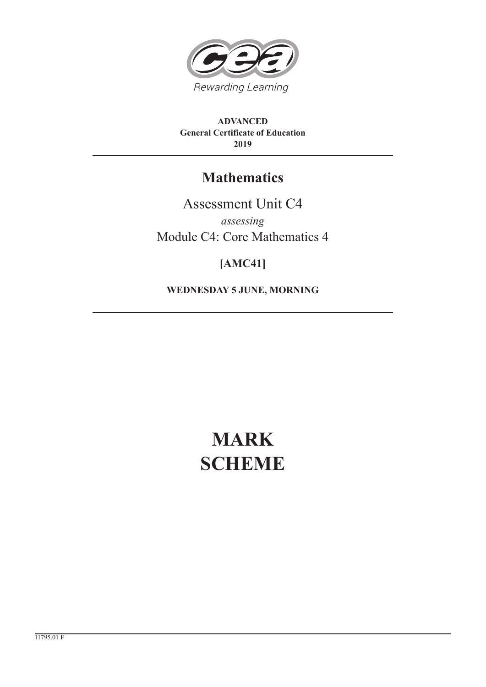

**ADVANCED General Certificate of Education 2019**

## **Mathematics**

Assessment Unit C4 *assessing* Module C4: Core Mathematics 4

### **[AMC41]**

**WEDNESDAY 5 JUNE, MORNING**

# **MARK SCHEME**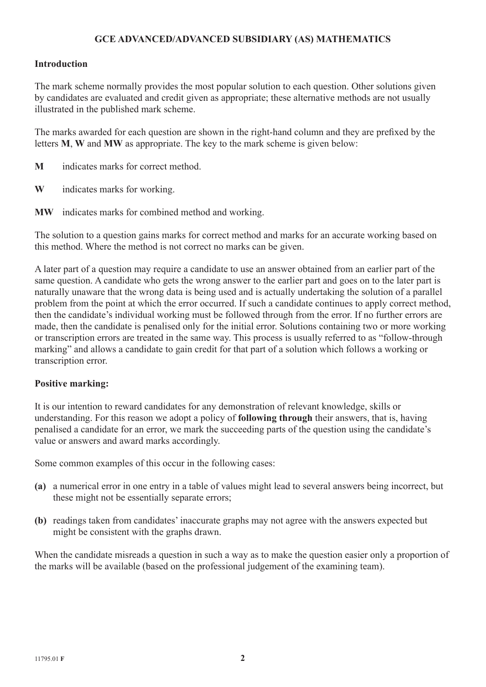#### **GCE ADVANCED/ADVANCED SUBSIDIARY (AS) MATHEMATICS**

#### **Introduction**

The mark scheme normally provides the most popular solution to each question. Other solutions given by candidates are evaluated and credit given as appropriate; these alternative methods are not usually illustrated in the published mark scheme.

The marks awarded for each question are shown in the right-hand column and they are prefixed by the letters **M**, **W** and **MW** as appropriate. The key to the mark scheme is given below:

- **M** indicates marks for correct method.
- **W** indicates marks for working.
- **MW** indicates marks for combined method and working.

The solution to a question gains marks for correct method and marks for an accurate working based on this method. Where the method is not correct no marks can be given.

A later part of a question may require a candidate to use an answer obtained from an earlier part of the same question. A candidate who gets the wrong answer to the earlier part and goes on to the later part is naturally unaware that the wrong data is being used and is actually undertaking the solution of a parallel problem from the point at which the error occurred. If such a candidate continues to apply correct method, then the candidate's individual working must be followed through from the error. If no further errors are made, then the candidate is penalised only for the initial error. Solutions containing two or more working or transcription errors are treated in the same way. This process is usually referred to as "follow-through marking" and allows a candidate to gain credit for that part of a solution which follows a working or transcription error.

#### **Positive marking:**

It is our intention to reward candidates for any demonstration of relevant knowledge, skills or understanding. For this reason we adopt a policy of **following through** their answers, that is, having penalised a candidate for an error, we mark the succeeding parts of the question using the candidate's value or answers and award marks accordingly.

Some common examples of this occur in the following cases:

- **(a)** a numerical error in one entry in a table of values might lead to several answers being incorrect, but these might not be essentially separate errors;
- **(b)** readings taken from candidates' inaccurate graphs may not agree with the answers expected but might be consistent with the graphs drawn.

When the candidate misreads a question in such a way as to make the question easier only a proportion of the marks will be available (based on the professional judgement of the examining team).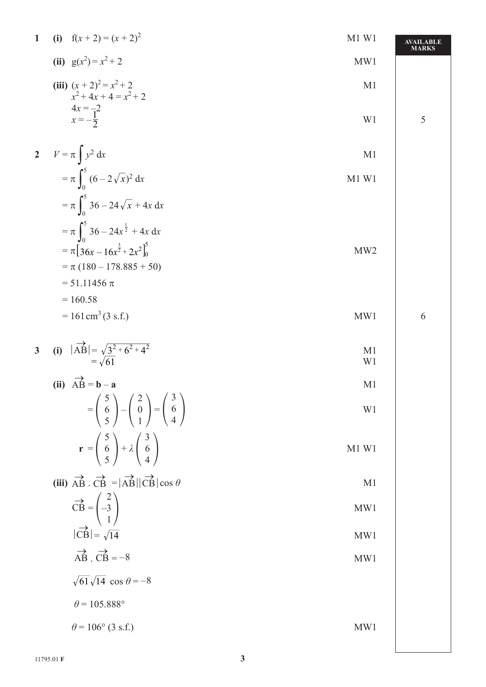| $\mathbf{1}$   | (i) $f(x+2) = (x+2)^2$                                                                                                                             | $M1$ W1         | <b>AVAILABLE</b><br><b>MARKS</b> |
|----------------|----------------------------------------------------------------------------------------------------------------------------------------------------|-----------------|----------------------------------|
|                | (ii) $g(x^2) = x^2 + 2$                                                                                                                            | MW1             |                                  |
|                | (iii) $(x+2)^2 = x^2 + 2$<br>$x^2 + 4x + 4 = x^2 + 2$                                                                                              | M <sub>1</sub>  |                                  |
|                | $4x = -2$<br>$x = -\frac{1}{2}$                                                                                                                    | W1              | 5                                |
|                | 2 $V = \pi \int y^2 dx$                                                                                                                            | M <sub>1</sub>  |                                  |
|                | $=\pi \int_{0}^{5} (6-2\sqrt{x})^2 dx$                                                                                                             | M1 W1           |                                  |
|                | $=\pi \int_{0}^{5} 36 - 24 \sqrt{x} + 4x \, dx$                                                                                                    |                 |                                  |
|                | $=\pi \int_{0}^{5} 36 - 24x^{\frac{1}{2}} + 4x \, dx$<br>$= \pi \left[ 36x - 16x^{\frac{3}{2}} + 2x^2 \right]_0^5$                                 | MW <sub>2</sub> |                                  |
|                | $= \pi (180 - 178.885 + 50)$                                                                                                                       |                 |                                  |
|                | $= 51.11456 \pi$<br>$= 160.58$                                                                                                                     |                 |                                  |
|                | $= 161 \text{ cm}^3 (3 \text{ s.f.})$                                                                                                              | MW1             | 6                                |
| $\overline{3}$ | (i) $ \overrightarrow{AB}  = \sqrt{3^2 + 6^2 + 4^2}$<br>= $\sqrt{61}$                                                                              | M1<br>W1        |                                  |
|                | (ii) $\overrightarrow{AB} = \mathbf{b} - \mathbf{a}$                                                                                               | M <sub>1</sub>  |                                  |
|                | $=\left(\begin{array}{c}5\\6\\5\end{array}\right)-\left(\begin{array}{c}2\\0\\1\end{array}\right)=\left(\begin{array}{c}3\\6\\4\end{array}\right)$ | W1              |                                  |
|                | $\mathbf{r} = \begin{pmatrix} 5 \\ 6 \\ 5 \end{pmatrix} + \lambda \begin{pmatrix} 3 \\ 6 \\ 4 \end{pmatrix}$                                       | $M1$ W1         |                                  |
|                | (iii) $\overrightarrow{AB} \cdot \overrightarrow{CB} =  \overrightarrow{AB}   \overrightarrow{CB}  \cos \theta$                                    | M1              |                                  |
|                | $\overrightarrow{CB} = \begin{pmatrix} 2 \\ -3 \\ 1 \end{pmatrix}$                                                                                 | MW1             |                                  |
|                | $ \overrightarrow{CB}  = \sqrt{14}$                                                                                                                | MW1             |                                  |
|                | $\overrightarrow{AB} \cdot \overrightarrow{CB} = -8$                                                                                               | MW1             |                                  |
|                | $\sqrt{61}\sqrt{14}$ cos $\theta = -8$                                                                                                             |                 |                                  |
|                | $\theta$ = 105.888°                                                                                                                                |                 |                                  |
|                | $\theta$ = 106° (3 s.f.)                                                                                                                           | MW1             |                                  |
|                |                                                                                                                                                    |                 |                                  |

 $\overline{\phantom{a}}$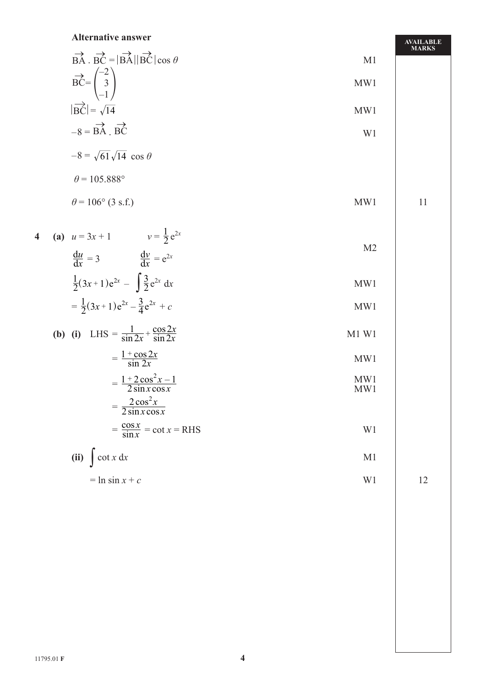#### **Alternative answer**

|                                                                                                         |     | <b>MARKS</b> |
|---------------------------------------------------------------------------------------------------------|-----|--------------|
| $\overrightarrow{BA}$ . $\overrightarrow{BC} =  \overrightarrow{BA}   \overrightarrow{BC}  \cos \theta$ | M1  |              |
| $\frac{1}{2}$<br>$\overrightarrow{BC}$<br>— I                                                           | MW1 |              |
| $ \overrightarrow{BC}  = \sqrt{14}$                                                                     | MW1 |              |
|                                                                                                         |     |              |

$$
-8 = \overrightarrow{BA} \cdot \overrightarrow{BC}
$$

$$
-8 = \sqrt{61}\sqrt{14} \cos \theta
$$

$$
\theta = 105.888^{\circ}
$$

$$
\theta = 106^{\circ} \text{ (3 s.f.)}
$$
 MW1 11

4 **(a)** 
$$
u = 3x + 1
$$
  $v = \frac{1}{2}e^{2x}$   
 $\frac{du}{dx} = 3$   $\frac{dv}{dx} = e^{2x}$  M2

$$
\frac{dx}{2}(3x+1)e^{2x} - \int \frac{3}{2}e^{2x} dx
$$
 MW1

$$
= \frac{1}{2}(3x+1)e^{2x} - \frac{3}{4}e^{2x} + c
$$
 MW1

**(b) (i)** LHS = 
$$
\frac{1}{\sin 2x} + \frac{\cos 2x}{\sin 2x}
$$
 M1 W1

$$
= \frac{1 + \cos 2x}{\sin 2x}
$$
 MW1

$$
= \frac{1 + 2\cos^2 x - 1}{2\sin x \cos x}
$$
 MW1  
- 
$$
\frac{2\cos^2 x}{2\cos^2 x}
$$
 MW1

$$
= \frac{2 \cos x}{2 \sin x \cos x}
$$

$$
= \frac{\cos x}{\sin x} = \cot x = \text{RHS}
$$

(ii) 
$$
\int \cot x \, dx
$$
  
=  $\ln \sin x + c$  W1 12

$$
12 \, \rm
$$

**AVAILABLE** 

11795.01 **F 4**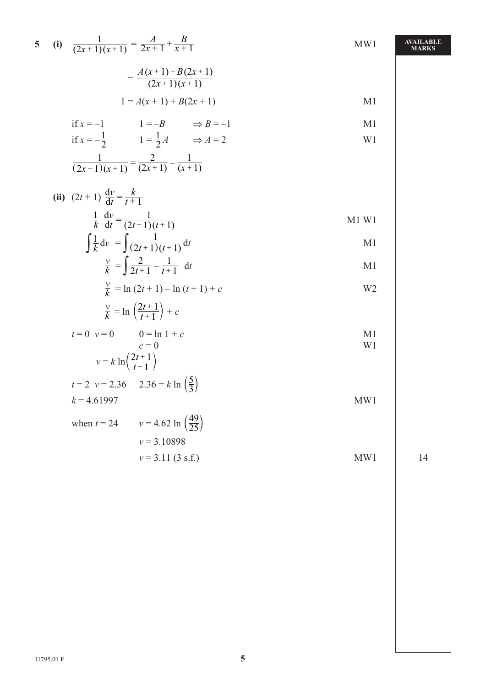|  | 5 (i) $\frac{1}{(2x+1)(x+1)} = \frac{A}{2x+1} + \frac{B}{x+1}$ | MW1            | <b>AVAILABLE</b><br><b>MARKS</b> |
|--|----------------------------------------------------------------|----------------|----------------------------------|
|  | $=\frac{A(x+1)+B(2x+1)}{(2x+1)(x+1)}$                          |                |                                  |
|  | $1 = A(x + 1) + B(2x + 1)$                                     | M <sub>1</sub> |                                  |
|  | if $x = -1$ $1 = -B$ $\Rightarrow B = -1$                      | M <sub>1</sub> |                                  |
|  | if $x = -\frac{1}{2}$ $1 = \frac{1}{2}A$ $\Rightarrow A = 2$   | W <sub>1</sub> |                                  |
|  | $\frac{1}{(2x+1)(x+1)} = \frac{2}{(2x+1)} - \frac{1}{(x+1)}$   |                |                                  |
|  | (ii) $(2t+1) \frac{dv}{dt} = \frac{k}{t+1}$                    |                |                                  |
|  | $rac{1}{k}$ $rac{dv}{dt} = \frac{1}{(2t+1)(t+1)}$              | $M1$ W1        |                                  |
|  | $\int \frac{1}{k} dv = \int \frac{1}{(2t+1)(t+1)} dt$          | M <sub>1</sub> |                                  |
|  | $\frac{v}{k} = \int \frac{2}{2t+1} - \frac{1}{t+1} dt$         | M <sub>1</sub> |                                  |
|  | $\frac{v}{k}$ = ln (2t + 1) – ln (t + 1) + c                   | W <sub>2</sub> |                                  |
|  | $\frac{v}{k} = \ln\left(\frac{2t+1}{t+1}\right) + c$           |                |                                  |
|  | $t = 0$ $v = 0$<br>$0 = \ln 1 + c$                             | M <sub>1</sub> |                                  |
|  | $c=0$<br>$v = k \ln \left( \frac{2t+1}{t+1} \right)$           | W <sub>1</sub> |                                  |
|  | $t = 2$ $v = 2.36$ $2.36 = k \ln \left(\frac{5}{3}\right)$     |                |                                  |
|  | $k = 4.61997$                                                  | MW1            |                                  |
|  | $v = 4.62 \ln \left( \frac{49}{25} \right)$<br>when $t = 24$   |                |                                  |
|  | $v = 3.10898$                                                  |                | 14                               |
|  | $v = 3.11$ (3 s.f.)                                            | MW1            |                                  |
|  |                                                                |                |                                  |
|  |                                                                |                |                                  |
|  |                                                                |                |                                  |
|  |                                                                |                |                                  |
|  |                                                                |                |                                  |
|  |                                                                |                |                                  |
|  |                                                                |                |                                  |
|  |                                                                |                |                                  |

 $\overline{\phantom{a}}$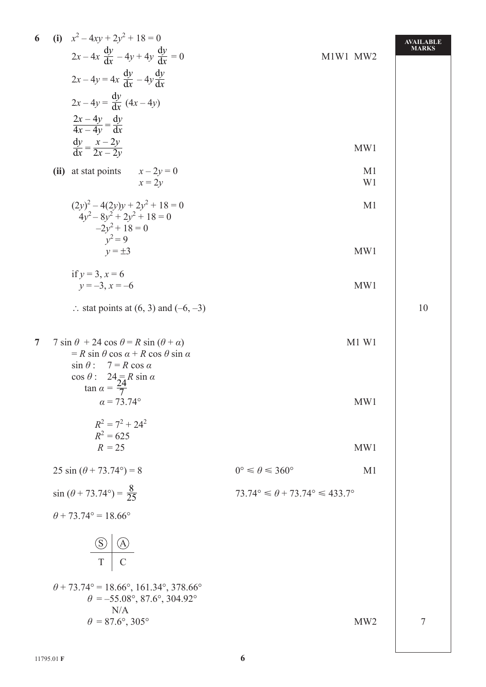| 6              | (i) $x^2 - 4xy + 2y^2 + 18 = 0$<br>$2x-4x \frac{dy}{dx} - 4y + 4y \frac{dy}{dx} = 0$<br>$2x-4y=4x \frac{dy}{dx}-4y \frac{dy}{dx}$<br>$2x-4y = \frac{dy}{dx} (4x - 4y)$<br>$\frac{2x-4y}{4x-4y} = \frac{dy}{dx}$                              | M1W1 MW2                                                     | <b>AVAILABLE</b><br><b>MARKS</b> |
|----------------|----------------------------------------------------------------------------------------------------------------------------------------------------------------------------------------------------------------------------------------------|--------------------------------------------------------------|----------------------------------|
|                | $\frac{dy}{dx} = \frac{x - 2y}{2x - 2y}$                                                                                                                                                                                                     | MW1                                                          |                                  |
|                | (ii) at stat points<br>$x - 2y = 0$<br>$x=2y$                                                                                                                                                                                                | M <sub>1</sub><br>W <sub>1</sub>                             |                                  |
|                | $(2y)^{2} - 4(2y)y + 2y^{2} + 18 = 0$<br>$4y^2 - 8y^2 + 2y^2 + 18 = 0$<br>$-2y^2 + 18 = 0$                                                                                                                                                   | M <sub>1</sub>                                               |                                  |
|                | $v^2 = 9$<br>$v = \pm 3$                                                                                                                                                                                                                     | MW1                                                          |                                  |
|                | if $y = 3$ , $x = 6$<br>$y = -3$ , $x = -6$                                                                                                                                                                                                  | MW1                                                          |                                  |
|                | $\therefore$ stat points at (6, 3) and (-6, -3)                                                                                                                                                                                              |                                                              | 10                               |
| $\overline{7}$ | 7 sin $\theta$ + 24 cos $\theta$ = R sin ( $\theta$ + $\alpha$ )<br>$= R \sin \theta \cos \alpha + R \cos \theta \sin \alpha$<br>$\sin \theta$ : $7 = R \cos \alpha$<br>$\cos \theta$ : $24 = R \sin \alpha$<br>$\tan \alpha = \frac{24}{7}$ | $M1$ W1                                                      |                                  |
|                | $\alpha = 73.74^{\circ}$                                                                                                                                                                                                                     | MW1                                                          |                                  |
|                | $R^2 = 7^2 + 24^2$<br>$R^2 = 625$<br>$R = 25$                                                                                                                                                                                                | MW1                                                          |                                  |
|                | 25 sin $(\theta + 73.74^{\circ}) = 8$                                                                                                                                                                                                        | $0^{\circ} \leq \theta \leq 360^{\circ}$<br>M <sub>1</sub>   |                                  |
|                | $\sin (\theta + 73.74^{\circ}) = \frac{8}{25}$                                                                                                                                                                                               | $73.74^{\circ} \le \theta + 73.74^{\circ} \le 433.7^{\circ}$ |                                  |
|                | $\theta$ + 73.74° = 18.66°                                                                                                                                                                                                                   |                                                              |                                  |
|                | $\bigcirc$<br>$\bigcirc$<br>T                                                                                                                                                                                                                |                                                              |                                  |
|                | $\theta$ + 73.74° = 18.66°, 161.34°, 378.66°<br>$\theta = -55.08^{\circ}, 87.6^{\circ}, 304.92^{\circ}$                                                                                                                                      |                                                              |                                  |
|                | N/A<br>$\theta = 87.6^{\circ}, 305^{\circ}$                                                                                                                                                                                                  | MW <sub>2</sub>                                              | $\overline{7}$                   |